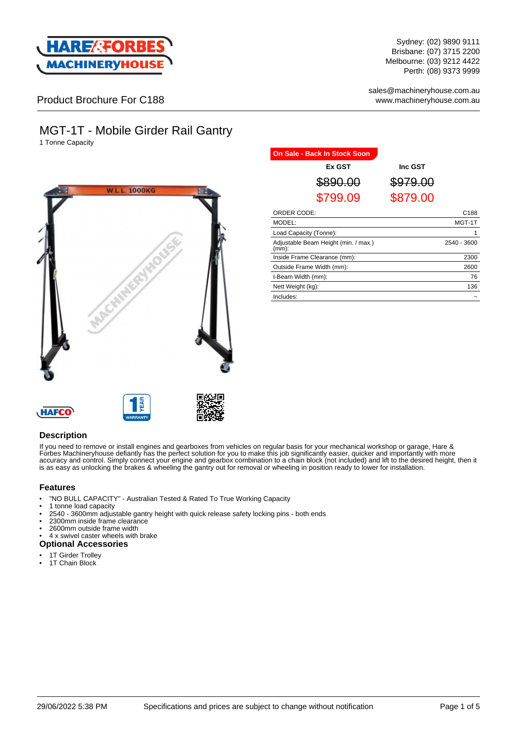

Sydney: (02) 9890 9111 Brisbane: (07) 3715 2200 Melbourne: (03) 9212 4422 Perth: (08) 9373 9999

sales@machineryhouse.com.au www.machineryhouse.com.au

Product Brochure For C188

# MGT-1T - Mobile Girder Rail Gantry

1 Tonne Capacity



| <b>On Sale - Back In Stock Soon</b>              |                  |             |
|--------------------------------------------------|------------------|-------------|
| Ex GST                                           | Inc GST          |             |
| <del>890.00</del>                                | <del>79.00</del> |             |
| \$799.09                                         | \$879.00         |             |
| ORDER CODE:                                      |                  | C188        |
| MODEL:                                           |                  | MGT-1T      |
| Load Capacity (Tonne):                           |                  |             |
| Adjustable Beam Height (min. / max.)<br>$(mm)$ : |                  | 2540 - 3600 |
| Inside Frame Clearance (mm):                     |                  | 2300        |
| Outside Frame Width (mm):                        |                  | 2600        |
| I-Beam Width (mm):                               |                  | 76          |
| Nett Weight (kg):                                |                  | 136         |
| Includes:                                        |                  |             |





### **Description**

If you need to remove or install engines and gearboxes from vehicles on regular basis for your mechanical workshop or garage, Hare & Forbes Machineryhouse defiantly has the perfect solution for you to make this job significantly easier, quicker and importantly with more accuracy and control. Simply connect your engine and gearbox combination to a chain block (not included) and lift to the desired height, then it is as easy as unlocking the brakes & wheeling the gantry out for removal or wheeling in position ready to lower for installation.

#### **Features**

- "NO BULL CAPACITY" Australian Tested & Rated To True Working Capacity
- 1 tonne load capacity
- 2540 3600mm adjustable gantry height with quick release safety locking pins both ends
- 2300mm inside frame clearance
- 2600mm outside frame width
- 4 x swivel caster wheels with brake
- **Optional Accessories**
- 1T Girder Trolley
- 1T Chain Block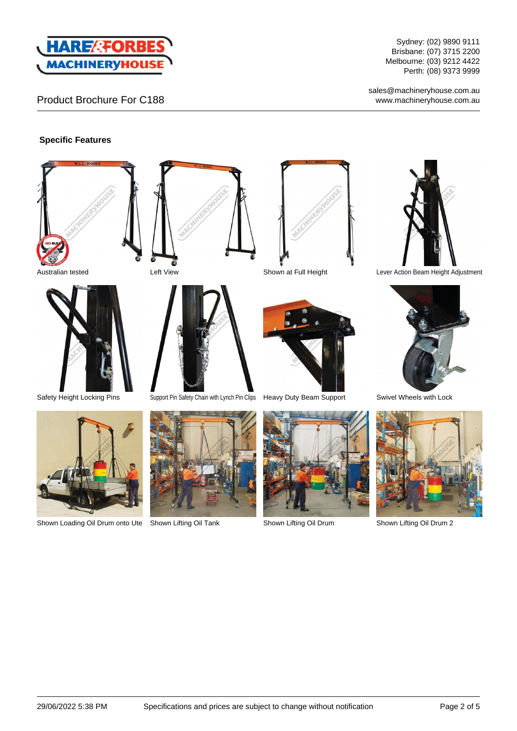

# Product Brochure For C188

Sydney: (02) 9890 9111 Brisbane: (07) 3715 2200 Melbourne: (03) 9212 4422 Perth: (08) 9373 9999

sales@machineryhouse.com.au www.machineryhouse.com.au

### **Specific Features**







Shown Loading Oil Drum onto Ute Shown Lifting Oil Tank Shown Lifting Oil Drum Shown Lifting Oil Drum 2















Australian tested Left View Shown at Full Height Lever Action Beam Height Adjustment



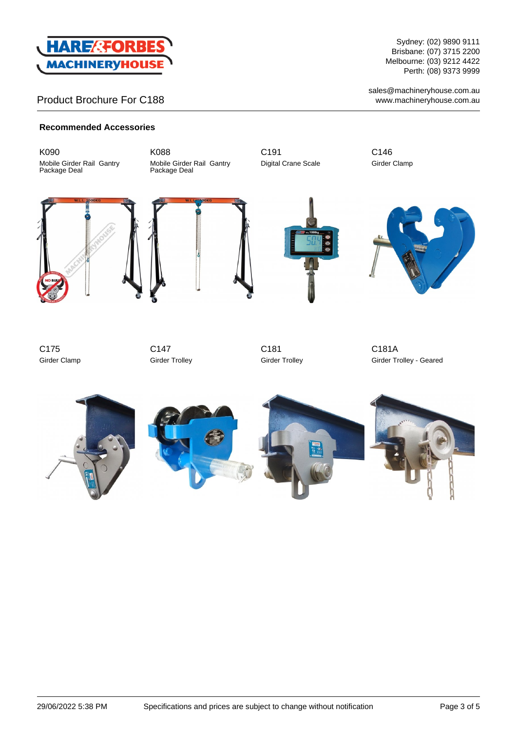

## Product Brochure For C188

Sydney: (02) 9890 9111 Brisbane: (07) 3715 2200 Melbourne: (03) 9212 4422 Perth: (08) 9373 9999

sales@machineryhouse.com.au www.machineryhouse.com.au

#### **Recommended Accessories**

K090 Mobile Girder Rail Gantry Package Deal

K088 Mobile Girder Rail Gantry Package Deal

C191 Digital Crane Scale C146 Girder Clamp











C175 Girder Clamp

C147 Girder Trolley

C181 Girder Trolley

C181A Girder Trolley - Geared

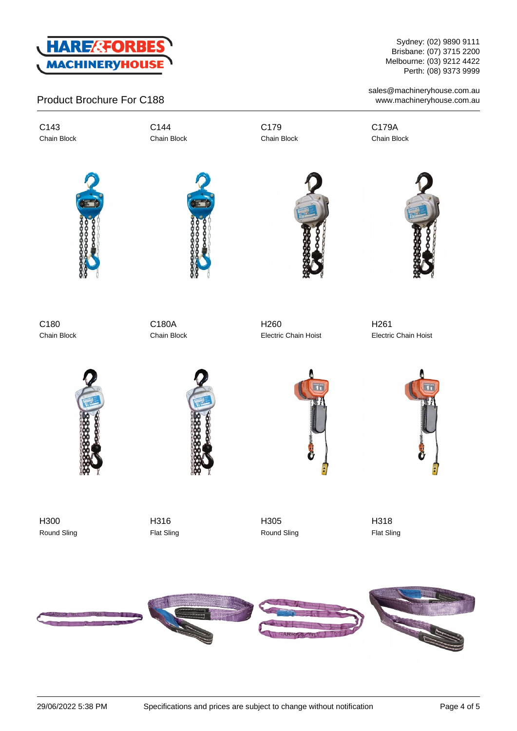

## Product Brochure For C188

C143 Chain Block C144 Chain Block C179 Chain Block

Sydney: (02) 9890 9111 Brisbane: (07) 3715 2200 Melbourne: (03) 9212 4422 Perth: (08) 9373 9999

sales@machineryhouse.com.au www.machineryhouse.com.au

C179A Chain Block







C180 Chain Block

C180A Chain Block

H260 Electric Chain Hoist

H261 Electric Chain Hoist





H300 Round Sling

H316 Flat Sling





H318 Flat Sling



H305 Round Sling